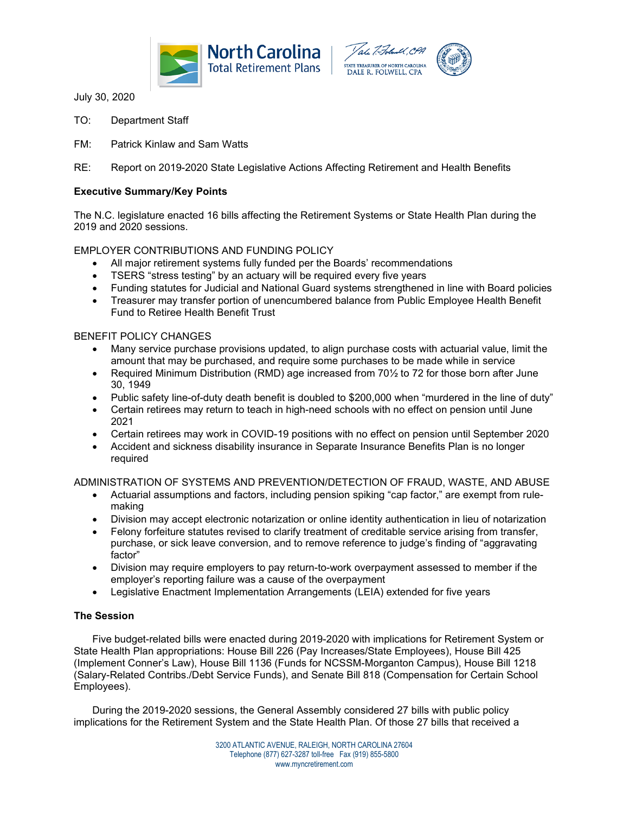



July 30, 2020

- TO: Department Staff
- FM: Patrick Kinlaw and Sam Watts
- RE: Report on 2019-2020 State Legislative Actions Affecting Retirement and Health Benefits

### **Executive Summary/Key Points**

The N.C. legislature enacted 16 bills affecting the Retirement Systems or State Health Plan during the 2019 and 2020 sessions.

## EMPLOYER CONTRIBUTIONS AND FUNDING POLICY

- All major retirement systems fully funded per the Boards' recommendations
- TSERS "stress testing" by an actuary will be required every five years
- Funding statutes for Judicial and National Guard systems strengthened in line with Board policies
- Treasurer may transfer portion of unencumbered balance from Public Employee Health Benefit Fund to Retiree Health Benefit Trust

### BENEFIT POLICY CHANGES

- Many service purchase provisions updated, to align purchase costs with actuarial value, limit the amount that may be purchased, and require some purchases to be made while in service
- Required Minimum Distribution (RMD) age increased from 70½ to 72 for those born after June 30, 1949
- Public safety line-of-duty death benefit is doubled to \$200,000 when "murdered in the line of duty"
- Certain retirees may return to teach in high-need schools with no effect on pension until June 2021
- Certain retirees may work in COVID-19 positions with no effect on pension until September 2020
- Accident and sickness disability insurance in Separate Insurance Benefits Plan is no longer required

ADMINISTRATION OF SYSTEMS AND PREVENTION/DETECTION OF FRAUD, WASTE, AND ABUSE

- Actuarial assumptions and factors, including pension spiking "cap factor," are exempt from rulemaking
- Division may accept electronic notarization or online identity authentication in lieu of notarization
- Felony forfeiture statutes revised to clarify treatment of creditable service arising from transfer, purchase, or sick leave conversion, and to remove reference to judge's finding of "aggravating factor"
- Division may require employers to pay return-to-work overpayment assessed to member if the employer's reporting failure was a cause of the overpayment
- Legislative Enactment Implementation Arrangements (LEIA) extended for five years

### **The Session**

Five budget-related bills were enacted during 2019-2020 with implications for Retirement System or State Health Plan appropriations: House Bill 226 (Pay Increases/State Employees), House Bill 425 (Implement Conner's Law), House Bill 1136 (Funds for NCSSM-Morganton Campus), House Bill 1218 (Salary-Related Contribs./Debt Service Funds), and Senate Bill 818 (Compensation for Certain School Employees).

During the 2019-2020 sessions, the General Assembly considered 27 bills with public policy implications for the Retirement System and the State Health Plan. Of those 27 bills that received a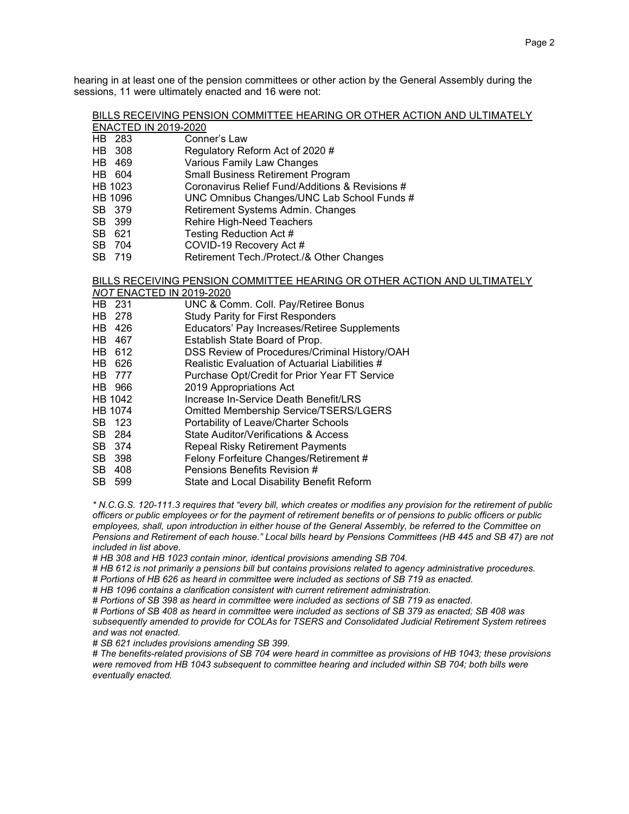hearing in at least one of the pension committees or other action by the General Assembly during the sessions, 11 were ultimately enacted and 16 were not:

|                      | BILLS RECEIVING PENSION COMMITTEE HEARING OR OTHER ACTION AND ULTIMATELY |
|----------------------|--------------------------------------------------------------------------|
| ENACTED IN 2019-2020 |                                                                          |

- HB 283 Conner's Law<br>
HB 308 Regulatory Re
- Regulatory Reform Act of 2020 #
- HB 469 Various Family Law Changes
- HB 604 Small Business Retirement Program<br>HB 1023 Coronavirus Relief Fund/Additions &
- Coronavirus Relief Fund/Additions & Revisions #
- HB 1096 UNC Omnibus Changes/UNC Lab School Funds #
- SB 379 Retirement Systems Admin. Changes<br>SB 399 Rehire High-Need Teachers
- Rehire High-Need Teachers
- SB 621 Testing Reduction Act #<br>SB 704 COVID-19 Recovery Act
- COVID-19 Recovery Act #
- SB 719 Retirement Tech./Protect./& Other Changes

## BILLS RECEIVING PENSION COMMITTEE HEARING OR OTHER ACTION AND ULTIMATELY

- *NOT* ENACTED IN 2019-2020
- HB 231 UNC & Comm. Coll. Pay/Retiree Bonus<br>
HB 278 Study Parity for First Responders
- HB 278 Study Parity for First Responders<br>HB 426 HB Educators' Pay Increases/Retiree
- Educators' Pay Increases/Retiree Supplements
- HB 467 Establish State Board of Prop.<br>HB 612 DSS Review of Procedures/Cr
- DSS Review of Procedures/Criminal History/OAH
- 
- HB 626 Realistic Evaluation of Actuarial Liabilities #<br>HB 777 Purchase Opt/Credit for Prior Year FT Servic Purchase Opt/Credit for Prior Year FT Service
- HB 966 2019 Appropriations Act
- HB 1042 Increase In-Service Death Benefit/LRS
- HB 1074 Omitted Membership Service/TSERS/LGERS
- SB 123 Portability of Leave/Charter Schools<br>SB 284 State Auditor/Verifications & Access
- 
- SB 284 State Auditor/Verifications & Access<br>SB 374 Repeal Risky Retirement Payments Repeal Risky Retirement Payments
- SB 398 Felony Forfeiture Changes/Retirement #<br>SB 408 Pensions Benefits Revision #
- SB 408 Pensions Benefits Revision #<br>SB 599 State and Local Disability Ber
- State and Local Disability Benefit Reform

*\* N.C.G.S. 120-111.3 requires that "every bill, which creates or modifies any provision for the retirement of public officers or public employees or for the payment of retirement benefits or of pensions to public officers or public employees, shall, upon introduction in either house of the General Assembly, be referred to the Committee on Pensions and Retirement of each house." Local bills heard by Pensions Committees (HB 445 and SB 47) are not included in list above.*

*# HB 308 and HB 1023 contain minor, identical provisions amending SB 704.* 

- *# HB 612 is not primarily a pensions bill but contains provisions related to agency administrative procedures.*
- *# Portions of HB 626 as heard in committee were included as sections of SB 719 as enacted.*

*# HB 1096 contains a clarification consistent with current retirement administration.*

*# Portions of SB 398 as heard in committee were included as sections of SB 719 as enacted.* 

*# Portions of SB 408 as heard in committee were included as sections of SB 379 as enacted; SB 408 was subsequently amended to provide for COLAs for TSERS and Consolidated Judicial Retirement System retirees and was not enacted.* 

*# SB 621 includes provisions amending SB 399.*

*# The benefits-related provisions of SB 704 were heard in committee as provisions of HB 1043; these provisions were removed from HB 1043 subsequent to committee hearing and included within SB 704; both bills were eventually enacted.*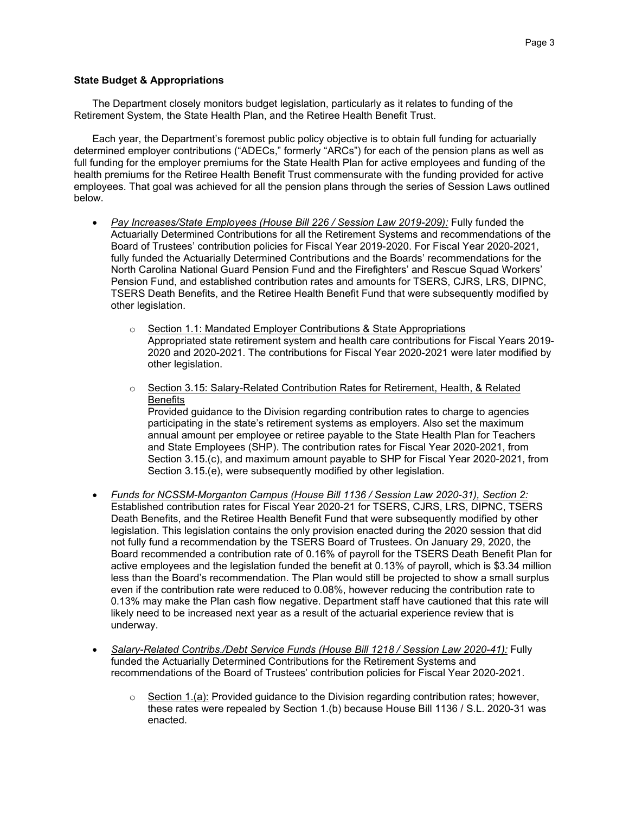### **State Budget & Appropriations**

The Department closely monitors budget legislation, particularly as it relates to funding of the Retirement System, the State Health Plan, and the Retiree Health Benefit Trust.

Each year, the Department's foremost public policy objective is to obtain full funding for actuarially determined employer contributions ("ADECs," formerly "ARCs") for each of the pension plans as well as full funding for the employer premiums for the State Health Plan for active employees and funding of the health premiums for the Retiree Health Benefit Trust commensurate with the funding provided for active employees. That goal was achieved for all the pension plans through the series of Session Laws outlined below.

- *Pay Increases/State Employees (House Bill 226 / Session Law 2019-209):* Fully funded the Actuarially Determined Contributions for all the Retirement Systems and recommendations of the Board of Trustees' contribution policies for Fiscal Year 2019-2020. For Fiscal Year 2020-2021, fully funded the Actuarially Determined Contributions and the Boards' recommendations for the North Carolina National Guard Pension Fund and the Firefighters' and Rescue Squad Workers' Pension Fund, and established contribution rates and amounts for TSERS, CJRS, LRS, DIPNC, TSERS Death Benefits, and the Retiree Health Benefit Fund that were subsequently modified by other legislation.
	- o Section 1.1: Mandated Employer Contributions & State Appropriations Appropriated state retirement system and health care contributions for Fiscal Years 2019- 2020 and 2020-2021. The contributions for Fiscal Year 2020-2021 were later modified by other legislation.
	- o Section 3.15: Salary-Related Contribution Rates for Retirement, Health, & Related **Benefits** Provided guidance to the Division regarding contribution rates to charge to agencies participating in the state's retirement systems as employers. Also set the maximum annual amount per employee or retiree payable to the State Health Plan for Teachers and State Employees (SHP). The contribution rates for Fiscal Year 2020-2021, from Section 3.15.(c), and maximum amount payable to SHP for Fiscal Year 2020-2021, from Section 3.15.(e), were subsequently modified by other legislation.
- *Funds for NCSSM-Morganton Campus (House Bill 1136 / Session Law 2020-31), Section 2:* Established contribution rates for Fiscal Year 2020-21 for TSERS, CJRS, LRS, DIPNC, TSERS Death Benefits, and the Retiree Health Benefit Fund that were subsequently modified by other legislation. This legislation contains the only provision enacted during the 2020 session that did not fully fund a recommendation by the TSERS Board of Trustees. On January 29, 2020, the Board recommended a contribution rate of 0.16% of payroll for the TSERS Death Benefit Plan for active employees and the legislation funded the benefit at 0.13% of payroll, which is \$3.34 million less than the Board's recommendation. The Plan would still be projected to show a small surplus even if the contribution rate were reduced to 0.08%, however reducing the contribution rate to 0.13% may make the Plan cash flow negative. Department staff have cautioned that this rate will likely need to be increased next year as a result of the actuarial experience review that is underway.
- *Salary-Related Contribs./Debt Service Funds (House Bill 1218 / Session Law 2020-41):* Fully funded the Actuarially Determined Contributions for the Retirement Systems and recommendations of the Board of Trustees' contribution policies for Fiscal Year 2020-2021.
	- $\circ$  Section 1.(a): Provided guidance to the Division regarding contribution rates; however, these rates were repealed by Section 1.(b) because House Bill 1136 / S.L. 2020-31 was enacted.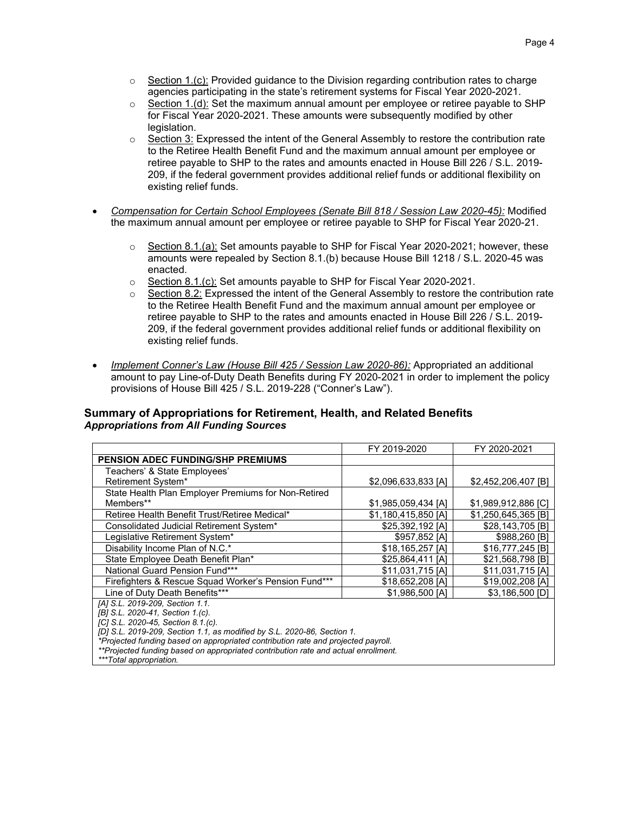- $\circ$  Section 1.(c): Provided guidance to the Division regarding contribution rates to charge agencies participating in the state's retirement systems for Fiscal Year 2020-2021.
- $\circ$  Section 1.(d): Set the maximum annual amount per employee or retiree payable to SHP for Fiscal Year 2020-2021. These amounts were subsequently modified by other legislation.
- $\circ$  Section 3: Expressed the intent of the General Assembly to restore the contribution rate to the Retiree Health Benefit Fund and the maximum annual amount per employee or retiree payable to SHP to the rates and amounts enacted in House Bill 226 / S.L. 2019- 209, if the federal government provides additional relief funds or additional flexibility on existing relief funds.
- *Compensation for Certain School Employees (Senate Bill 818 / Session Law 2020-45):* Modified the maximum annual amount per employee or retiree payable to SHP for Fiscal Year 2020-21.
	- $\circ$  Section 8.1.(a): Set amounts payable to SHP for Fiscal Year 2020-2021; however, these amounts were repealed by Section 8.1.(b) because House Bill 1218 / S.L. 2020-45 was enacted.
	- o Section 8.1.(c): Set amounts payable to SHP for Fiscal Year 2020-2021.
	- $\circ$  Section 8.2: Expressed the intent of the General Assembly to restore the contribution rate to the Retiree Health Benefit Fund and the maximum annual amount per employee or retiree payable to SHP to the rates and amounts enacted in House Bill 226 / S.L. 2019- 209, if the federal government provides additional relief funds or additional flexibility on existing relief funds.
- *Implement Conner's Law (House Bill 425 / Session Law 2020-86):* Appropriated an additional amount to pay Line-of-Duty Death Benefits during FY 2020-2021 in order to implement the policy provisions of House Bill 425 / S.L. 2019-228 ("Conner's Law").

## **Summary of Appropriations for Retirement, Health, and Related Benefits**  *Appropriations from All Funding Sources*

|                                                                                    | FY 2019-2020        | FY 2020-2021        |  |  |  |  |
|------------------------------------------------------------------------------------|---------------------|---------------------|--|--|--|--|
| <b>PENSION ADEC FUNDING/SHP PREMIUMS</b>                                           |                     |                     |  |  |  |  |
| Teachers' & State Employees'                                                       |                     |                     |  |  |  |  |
| Retirement System*                                                                 | \$2,096,633,833 [A] | \$2,452,206,407 [B] |  |  |  |  |
| State Health Plan Employer Premiums for Non-Retired                                |                     |                     |  |  |  |  |
| Members**                                                                          | \$1,985,059,434 [A] | \$1,989,912,886 [C] |  |  |  |  |
| Retiree Health Benefit Trust/Retiree Medical*                                      | \$1,180,415,850 [A] | \$1,250,645,365 [B] |  |  |  |  |
| Consolidated Judicial Retirement System*                                           | \$25,392,192 [A]    | \$28,143,705 [B]    |  |  |  |  |
| Legislative Retirement System*                                                     | \$957,852 [A]       | \$988,260 [B]       |  |  |  |  |
| Disability Income Plan of N.C.*                                                    | \$18,165,257 [A]    | \$16,777,245 [B]    |  |  |  |  |
| State Employee Death Benefit Plan*                                                 | \$25,864,411 [A]    | \$21,568,798 [B]    |  |  |  |  |
| National Guard Pension Fund***<br>\$11,031,715 [A]<br>\$11,031,715 [A]             |                     |                     |  |  |  |  |
| Firefighters & Rescue Squad Worker's Pension Fund***                               | \$18,652,208 [A]    | \$19,002,208 [A]    |  |  |  |  |
| Line of Duty Death Benefits***                                                     | \$1,986,500 [A]     | \$3,186,500 [D]     |  |  |  |  |
| [A] S.L. 2019-209, Section 1.1.                                                    |                     |                     |  |  |  |  |
| [B] S.L. 2020-41, Section 1.(c).                                                   |                     |                     |  |  |  |  |
| [C] S.L. 2020-45, Section 8.1.(c).                                                 |                     |                     |  |  |  |  |
| [D] S.L. 2019-209, Section 1.1, as modified by S.L. 2020-86, Section 1.            |                     |                     |  |  |  |  |
| *Projected funding based on appropriated contribution rate and projected payroll.  |                     |                     |  |  |  |  |
| **Projected funding based on appropriated contribution rate and actual enrollment. |                     |                     |  |  |  |  |
| ***Total appropriation.                                                            |                     |                     |  |  |  |  |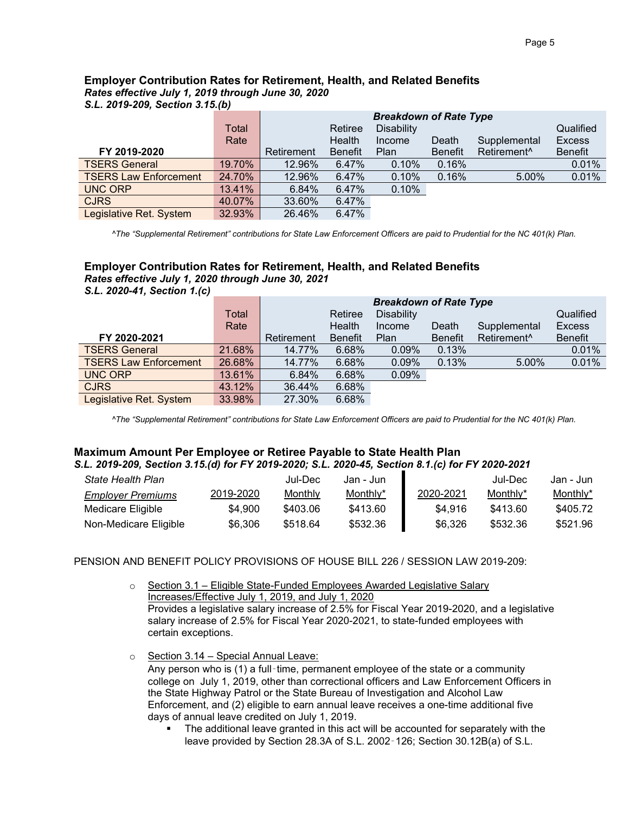# **Employer Contribution Rates for Retirement, Health, and Related Benefits**  *Rates effective July 1, 2019 through June 30, 2020*

*S.L. 2019-209, Section 3.15.(b)*

|                              |        | <b>Breakdown of Rate Type</b> |                |                   |                |                         |                |
|------------------------------|--------|-------------------------------|----------------|-------------------|----------------|-------------------------|----------------|
|                              | Total  |                               | Retiree        | <b>Disability</b> |                |                         | Qualified      |
|                              | Rate   |                               | Health         | Income            | Death          | Supplemental            | <b>Excess</b>  |
| FY 2019-2020                 |        | Retirement                    | <b>Benefit</b> | <b>Plan</b>       | <b>Benefit</b> | Retirement <sup>^</sup> | <b>Benefit</b> |
| <b>TSERS General</b>         | 19.70% | 12.96%                        | 6.47%          | 0.10%             | 0.16%          |                         | 0.01%          |
| <b>TSERS Law Enforcement</b> | 24.70% | 12.96%                        | 6.47%          | 0.10%             | 0.16%          | 5.00%                   | 0.01%          |
| <b>UNC ORP</b>               | 13.41% | 6.84%                         | 6.47%          | 0.10%             |                |                         |                |
| <b>CJRS</b>                  | 40.07% | 33.60%                        | 6.47%          |                   |                |                         |                |
| Legislative Ret. System      | 32.93% | 26.46%                        | 6.47%          |                   |                |                         |                |

 *^The "Supplemental Retirement" contributions for State Law Enforcement Officers are paid to Prudential for the NC 401(k) Plan.*

## **Employer Contribution Rates for Retirement, Health, and Related Benefits**  *Rates effective July 1, 2020 through June 30, 2021*

*S.L. 2020-41, Section 1.(c)*

|                              |        | <b>Breakdown of Rate Type</b> |                |                   |                |                         |                |
|------------------------------|--------|-------------------------------|----------------|-------------------|----------------|-------------------------|----------------|
|                              | Total  |                               | Retiree        | <b>Disability</b> |                |                         | Qualified      |
|                              | Rate   |                               | Health         | Income            | Death          | Supplemental            | <b>Excess</b>  |
| FY 2020-2021                 |        | Retirement                    | <b>Benefit</b> | Plan              | <b>Benefit</b> | Retirement <sup>^</sup> | <b>Benefit</b> |
| <b>TSERS General</b>         | 21.68% | 14.77%                        | 6.68%          | 0.09%             | 0.13%          |                         | 0.01%          |
| <b>TSERS Law Enforcement</b> | 26.68% | 14.77%                        | 6.68%          | 0.09%             | 0.13%          | 5.00%                   | 0.01%          |
| <b>UNC ORP</b>               | 13.61% | 6.84%                         | 6.68%          | 0.09%             |                |                         |                |
| <b>CJRS</b>                  | 43.12% | 36.44%                        | 6.68%          |                   |                |                         |                |
| Legislative Ret. System      | 33.98% | 27.30%                        | 6.68%          |                   |                |                         |                |

 *^The "Supplemental Retirement" contributions for State Law Enforcement Officers are paid to Prudential for the NC 401(k) Plan.*

## **Maximum Amount Per Employee or Retiree Payable to State Health Plan** *S.L. 2019-209, Section 3.15.(d) for FY 2019-2020; S.L. 2020-45, Section 8.1.(c) for FY 2020-2021*

| State Health Plan        |           | Jul-Dec  | Jan - Jun |           | Jul-Dec  | Jan - Jun |
|--------------------------|-----------|----------|-----------|-----------|----------|-----------|
| <b>Employer Premiums</b> | 2019-2020 | Monthly  | Monthly*  | 2020-2021 | Monthly* | Monthly*  |
| Medicare Eligible        | \$4.900   | \$403.06 | \$413.60  | \$4.916   | \$413.60 | \$405.72  |
| Non-Medicare Eligible    | \$6,306   | \$518.64 | \$532.36  | \$6.326   | \$532.36 | \$521.96  |

PENSION AND BENEFIT POLICY PROVISIONS OF HOUSE BILL 226 / SESSION LAW 2019-209:

- $\circ$  Section 3.1 Eligible State-Funded Employees Awarded Legislative Salary Increases/Effective July 1, 2019, and July 1, 2020 Provides a legislative salary increase of 2.5% for Fiscal Year 2019-2020, and a legislative salary increase of 2.5% for Fiscal Year 2020-2021, to state-funded employees with certain exceptions.
- $\circ$  Section 3.14 Special Annual Leave: Any person who is (1) a full-time, permanent employee of the state or a community college on July 1, 2019, other than correctional officers and Law Enforcement Officers in the State Highway Patrol or the State Bureau of Investigation and Alcohol Law Enforcement, and (2) eligible to earn annual leave receives a one-time additional five days of annual leave credited on July 1, 2019.
	- The additional leave granted in this act will be accounted for separately with the leave provided by Section 28.3A of S.L. 2002‑126; Section 30.12B(a) of S.L.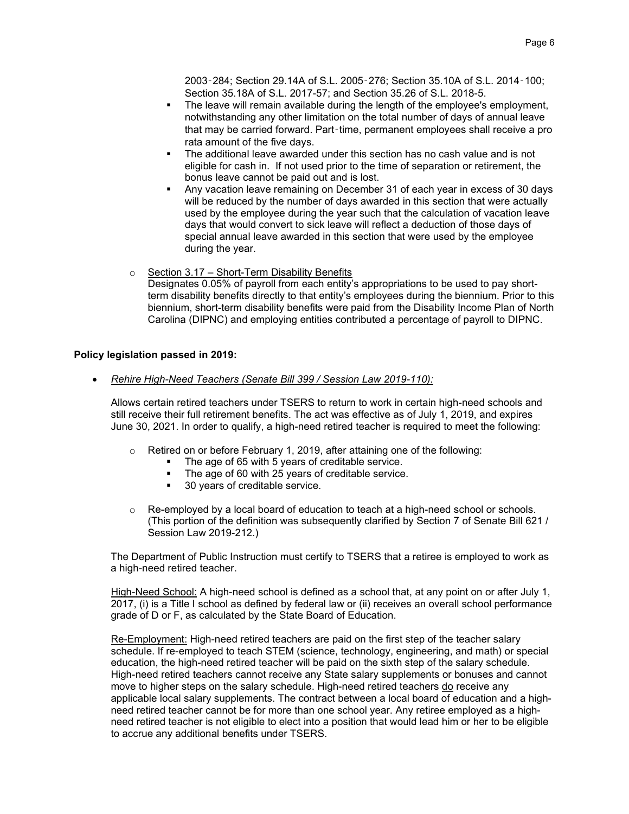2003‑284; Section 29.14A of S.L. 2005‑276; Section 35.10A of S.L. 2014‑100; Section 35.18A of S.L. 2017-57; and Section 35.26 of S.L. 2018-5.

- The leave will remain available during the length of the employee's employment, notwithstanding any other limitation on the total number of days of annual leave that may be carried forward. Part‑time, permanent employees shall receive a pro rata amount of the five days.
- The additional leave awarded under this section has no cash value and is not eligible for cash in. If not used prior to the time of separation or retirement, the bonus leave cannot be paid out and is lost.
- Any vacation leave remaining on December 31 of each year in excess of 30 days will be reduced by the number of days awarded in this section that were actually used by the employee during the year such that the calculation of vacation leave days that would convert to sick leave will reflect a deduction of those days of special annual leave awarded in this section that were used by the employee during the year.
- $\circ$  Section 3.17 Short-Term Disability Benefits Designates 0.05% of payroll from each entity's appropriations to be used to pay shortterm disability benefits directly to that entity's employees during the biennium. Prior to this biennium, short-term disability benefits were paid from the Disability Income Plan of North Carolina (DIPNC) and employing entities contributed a percentage of payroll to DIPNC.

## **Policy legislation passed in 2019:**

• *Rehire High-Need Teachers (Senate Bill 399 / Session Law 2019-110):*

Allows certain retired teachers under TSERS to return to work in certain high-need schools and still receive their full retirement benefits. The act was effective as of July 1, 2019, and expires June 30, 2021. In order to qualify, a high-need retired teacher is required to meet the following:

- o Retired on or before February 1, 2019, after attaining one of the following:
	- The age of 65 with 5 years of creditable service.
	- The age of 60 with 25 years of creditable service.<br>• 30 years of creditable service
	- 30 years of creditable service.
- $\circ$  Re-employed by a local board of education to teach at a high-need school or schools. (This portion of the definition was subsequently clarified by Section 7 of Senate Bill 621 / Session Law 2019-212.)

The Department of Public Instruction must certify to TSERS that a retiree is employed to work as a high-need retired teacher.

High-Need School: A high-need school is defined as a school that, at any point on or after July 1, 2017, (i) is a Title I school as defined by federal law or (ii) receives an overall school performance grade of D or F, as calculated by the State Board of Education.

Re-Employment: High-need retired teachers are paid on the first step of the teacher salary schedule. If re-employed to teach STEM (science, technology, engineering, and math) or special education, the high-need retired teacher will be paid on the sixth step of the salary schedule. High-need retired teachers cannot receive any State salary supplements or bonuses and cannot move to higher steps on the salary schedule. High-need retired teachers do receive any applicable local salary supplements. The contract between a local board of education and a highneed retired teacher cannot be for more than one school year. Any retiree employed as a highneed retired teacher is not eligible to elect into a position that would lead him or her to be eligible to accrue any additional benefits under TSERS.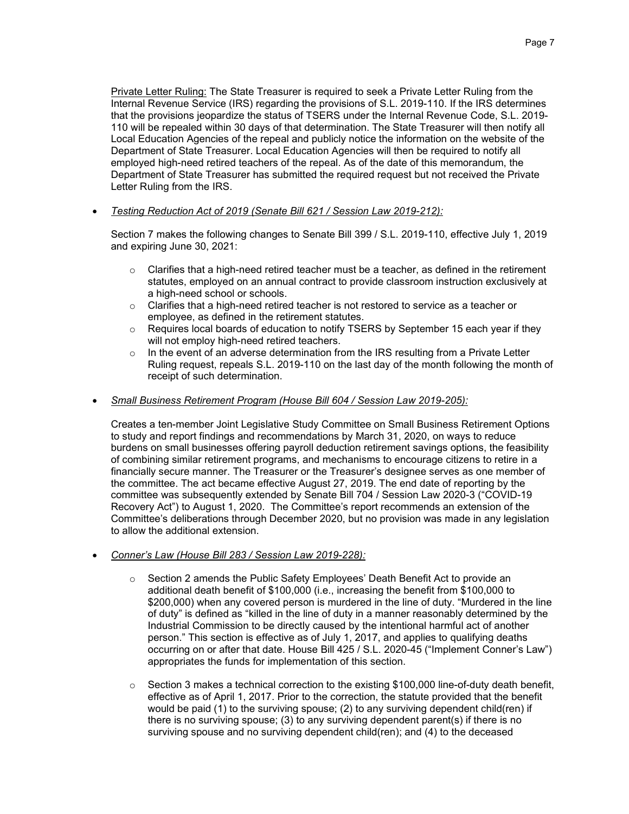Private Letter Ruling: The State Treasurer is required to seek a Private Letter Ruling from the Internal Revenue Service (IRS) regarding the provisions of S.L. 2019-110. If the IRS determines that the provisions jeopardize the status of TSERS under the Internal Revenue Code, S.L. 2019- 110 will be repealed within 30 days of that determination. The State Treasurer will then notify all Local Education Agencies of the repeal and publicly notice the information on the website of the Department of State Treasurer. Local Education Agencies will then be required to notify all employed high-need retired teachers of the repeal. As of the date of this memorandum, the Department of State Treasurer has submitted the required request but not received the Private Letter Ruling from the IRS.

• *Testing Reduction Act of 2019 (Senate Bill 621 / Session Law 2019-212):*

Section 7 makes the following changes to Senate Bill 399 / S.L. 2019-110, effective July 1, 2019 and expiring June 30, 2021:

- $\circ$  Clarifies that a high-need retired teacher must be a teacher, as defined in the retirement statutes, employed on an annual contract to provide classroom instruction exclusively at a high-need school or schools.
- $\circ$  Clarifies that a high-need retired teacher is not restored to service as a teacher or employee, as defined in the retirement statutes.
- $\circ$  Requires local boards of education to notify TSERS by September 15 each year if they will not employ high-need retired teachers.
- $\circ$  In the event of an adverse determination from the IRS resulting from a Private Letter Ruling request, repeals S.L. 2019-110 on the last day of the month following the month of receipt of such determination.

## • *Small Business Retirement Program (House Bill 604 / Session Law 2019-205):*

Creates a ten-member Joint Legislative Study Committee on Small Business Retirement Options to study and report findings and recommendations by March 31, 2020, on ways to reduce burdens on small businesses offering payroll deduction retirement savings options, the feasibility of combining similar retirement programs, and mechanisms to encourage citizens to retire in a financially secure manner. The Treasurer or the Treasurer's designee serves as one member of the committee. The act became effective August 27, 2019. The end date of reporting by the committee was subsequently extended by Senate Bill 704 / Session Law 2020-3 ("COVID-19 Recovery Act") to August 1, 2020. The Committee's report recommends an extension of the Committee's deliberations through December 2020, but no provision was made in any legislation to allow the additional extension.

- *Conner's Law (House Bill 283 / Session Law 2019-228):*
	- o Section 2 amends the Public Safety Employees' Death Benefit Act to provide an additional death benefit of \$100,000 (i.e., increasing the benefit from \$100,000 to \$200,000) when any covered person is murdered in the line of duty. "Murdered in the line of duty" is defined as "killed in the line of duty in a manner reasonably determined by the Industrial Commission to be directly caused by the intentional harmful act of another person." This section is effective as of July 1, 2017, and applies to qualifying deaths occurring on or after that date. House Bill 425 / S.L. 2020-45 ("Implement Conner's Law") appropriates the funds for implementation of this section.
	- $\circ$  Section 3 makes a technical correction to the existing \$100,000 line-of-duty death benefit, effective as of April 1, 2017. Prior to the correction, the statute provided that the benefit would be paid (1) to the surviving spouse; (2) to any surviving dependent child(ren) if there is no surviving spouse; (3) to any surviving dependent parent(s) if there is no surviving spouse and no surviving dependent child(ren); and (4) to the deceased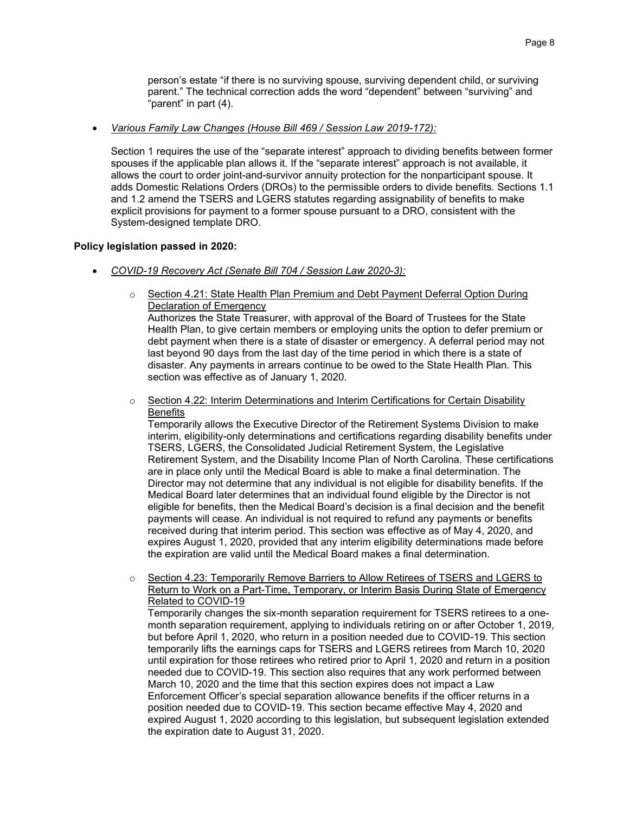person's estate "if there is no surviving spouse, surviving dependent child, or surviving parent." The technical correction adds the word "dependent" between "surviving" and "parent" in part (4).

#### • *Various Family Law Changes (House Bill 469 / Session Law 2019-172):*

Section 1 requires the use of the "separate interest" approach to dividing benefits between former spouses if the applicable plan allows it. If the "separate interest" approach is not available, it allows the court to order joint-and-survivor annuity protection for the nonparticipant spouse. It adds Domestic Relations Orders (DROs) to the permissible orders to divide benefits. Sections 1.1 and 1.2 amend the TSERS and LGERS statutes regarding assignability of benefits to make explicit provisions for payment to a former spouse pursuant to a DRO, consistent with the System-designed template DRO.

#### **Policy legislation passed in 2020:**

- *COVID-19 Recovery Act (Senate Bill 704 / Session Law 2020-3):*
	- o Section 4.21: State Health Plan Premium and Debt Payment Deferral Option During Declaration of Emergency Authorizes the State Treasurer, with approval of the Board of Trustees for the State

Health Plan, to give certain members or employing units the option to defer premium or debt payment when there is a state of disaster or emergency. A deferral period may not last beyond 90 days from the last day of the time period in which there is a state of disaster. Any payments in arrears continue to be owed to the State Health Plan. This section was effective as of January 1, 2020.

 $\circ$  Section 4.22: Interim Determinations and Interim Certifications for Certain Disability **Benefits** 

Temporarily allows the Executive Director of the Retirement Systems Division to make interim, eligibility-only determinations and certifications regarding disability benefits under TSERS, LGERS, the Consolidated Judicial Retirement System, the Legislative Retirement System, and the Disability Income Plan of North Carolina. These certifications are in place only until the Medical Board is able to make a final determination. The Director may not determine that any individual is not eligible for disability benefits. If the Medical Board later determines that an individual found eligible by the Director is not eligible for benefits, then the Medical Board's decision is a final decision and the benefit payments will cease. An individual is not required to refund any payments or benefits received during that interim period. This section was effective as of May 4, 2020, and expires August 1, 2020, provided that any interim eligibility determinations made before the expiration are valid until the Medical Board makes a final determination.

o Section 4.23: Temporarily Remove Barriers to Allow Retirees of TSERS and LGERS to Return to Work on a Part-Time, Temporary, or Interim Basis During State of Emergency Related to COVID-19

Temporarily changes the six-month separation requirement for TSERS retirees to a onemonth separation requirement, applying to individuals retiring on or after October 1, 2019, but before April 1, 2020, who return in a position needed due to COVID-19. This section temporarily lifts the earnings caps for TSERS and LGERS retirees from March 10, 2020 until expiration for those retirees who retired prior to April 1, 2020 and return in a position needed due to COVID-19. This section also requires that any work performed between March 10, 2020 and the time that this section expires does not impact a Law Enforcement Officer's special separation allowance benefits if the officer returns in a position needed due to COVID-19. This section became effective May 4, 2020 and expired August 1, 2020 according to this legislation, but subsequent legislation extended the expiration date to August 31, 2020.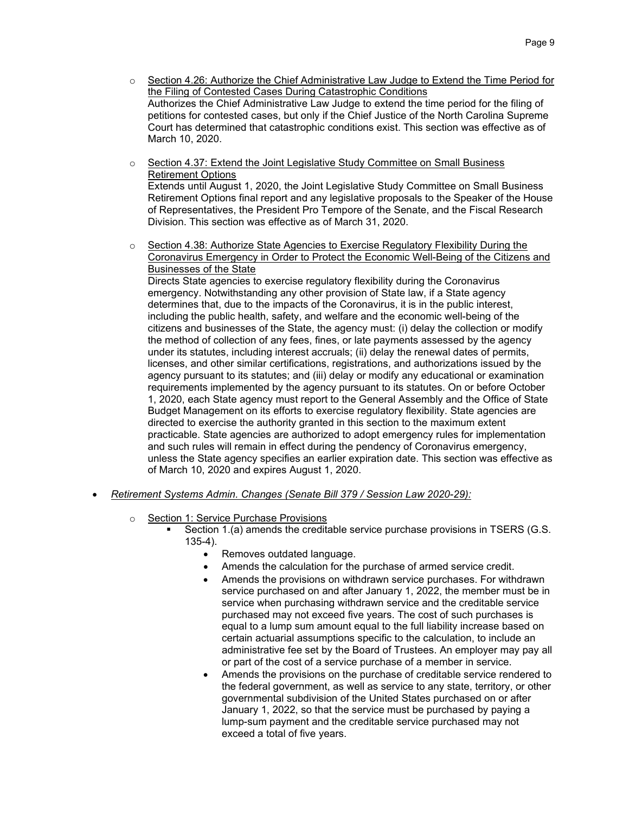- $\circ$  Section 4.26: Authorize the Chief Administrative Law Judge to Extend the Time Period for the Filing of Contested Cases During Catastrophic Conditions Authorizes the Chief Administrative Law Judge to extend the time period for the filing of petitions for contested cases, but only if the Chief Justice of the North Carolina Supreme Court has determined that catastrophic conditions exist. This section was effective as of March 10, 2020.
- $\circ$  Section 4.37: Extend the Joint Legislative Study Committee on Small Business Retirement Options Extends until August 1, 2020, the Joint Legislative Study Committee on Small Business Retirement Options final report and any legislative proposals to the Speaker of the House of Representatives, the President Pro Tempore of the Senate, and the Fiscal Research
- $\circ$  Section 4.38: Authorize State Agencies to Exercise Regulatory Flexibility During the Coronavirus Emergency in Order to Protect the Economic Well-Being of the Citizens and Businesses of the State

Directs State agencies to exercise regulatory flexibility during the Coronavirus emergency. Notwithstanding any other provision of State law, if a State agency determines that, due to the impacts of the Coronavirus, it is in the public interest, including the public health, safety, and welfare and the economic well-being of the citizens and businesses of the State, the agency must: (i) delay the collection or modify the method of collection of any fees, fines, or late payments assessed by the agency under its statutes, including interest accruals; (ii) delay the renewal dates of permits, licenses, and other similar certifications, registrations, and authorizations issued by the agency pursuant to its statutes; and (iii) delay or modify any educational or examination requirements implemented by the agency pursuant to its statutes. On or before October 1, 2020, each State agency must report to the General Assembly and the Office of State Budget Management on its efforts to exercise regulatory flexibility. State agencies are directed to exercise the authority granted in this section to the maximum extent practicable. State agencies are authorized to adopt emergency rules for implementation and such rules will remain in effect during the pendency of Coronavirus emergency, unless the State agency specifies an earlier expiration date. This section was effective as of March 10, 2020 and expires August 1, 2020.

• *Retirement Systems Admin. Changes (Senate Bill 379 / Session Law 2020-29):*

Division. This section was effective as of March 31, 2020.

- o Section 1: Service Purchase Provisions
	- Section 1.(a) amends the creditable service purchase provisions in TSERS (G.S. 135-4).
		- Removes outdated language.
		- Amends the calculation for the purchase of armed service credit.
		- Amends the provisions on withdrawn service purchases. For withdrawn service purchased on and after January 1, 2022, the member must be in service when purchasing withdrawn service and the creditable service purchased may not exceed five years. The cost of such purchases is equal to a lump sum amount equal to the full liability increase based on certain actuarial assumptions specific to the calculation, to include an administrative fee set by the Board of Trustees. An employer may pay all or part of the cost of a service purchase of a member in service.
		- Amends the provisions on the purchase of creditable service rendered to the federal government, as well as service to any state, territory, or other governmental subdivision of the United States purchased on or after January 1, 2022, so that the service must be purchased by paying a lump-sum payment and the creditable service purchased may not exceed a total of five years.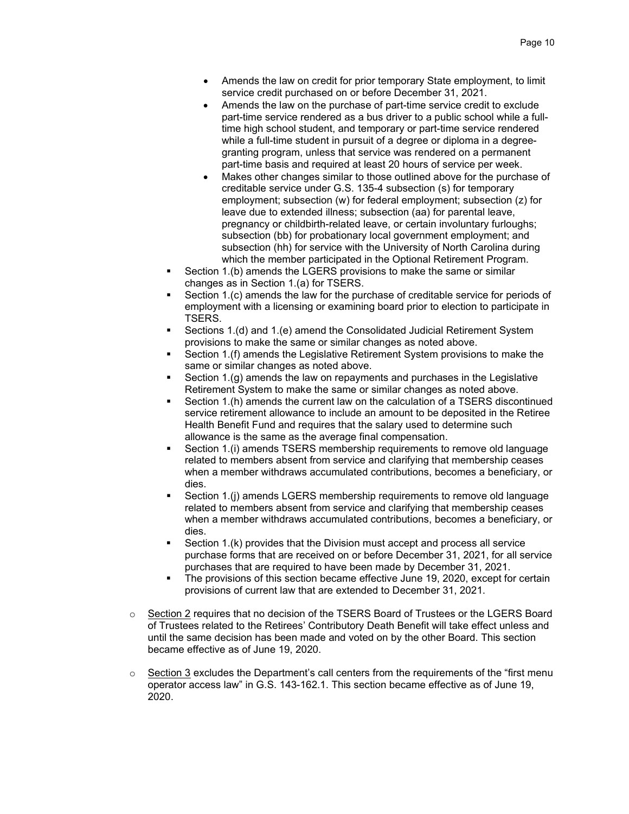- Amends the law on credit for prior temporary State employment, to limit service credit purchased on or before December 31, 2021.
- Amends the law on the purchase of part-time service credit to exclude part-time service rendered as a bus driver to a public school while a fulltime high school student, and temporary or part-time service rendered while a full-time student in pursuit of a degree or diploma in a degreegranting program, unless that service was rendered on a permanent part-time basis and required at least 20 hours of service per week.
- Makes other changes similar to those outlined above for the purchase of creditable service under G.S. 135-4 subsection (s) for temporary employment; subsection (w) for federal employment; subsection (z) for leave due to extended illness; subsection (aa) for parental leave, pregnancy or childbirth-related leave, or certain involuntary furloughs; subsection (bb) for probationary local government employment; and subsection (hh) for service with the University of North Carolina during which the member participated in the Optional Retirement Program.
- Section 1.(b) amends the LGERS provisions to make the same or similar changes as in Section 1.(a) for TSERS.
- Section 1.(c) amends the law for the purchase of creditable service for periods of employment with a licensing or examining board prior to election to participate in TSERS.
- Sections 1.(d) and 1.(e) amend the Consolidated Judicial Retirement System provisions to make the same or similar changes as noted above.
- Section 1.(f) amends the Legislative Retirement System provisions to make the same or similar changes as noted above.
- Section 1.(g) amends the law on repayments and purchases in the Legislative Retirement System to make the same or similar changes as noted above.
- Section 1.(h) amends the current law on the calculation of a TSERS discontinued service retirement allowance to include an amount to be deposited in the Retiree Health Benefit Fund and requires that the salary used to determine such allowance is the same as the average final compensation.
- Section 1.(i) amends TSERS membership requirements to remove old language related to members absent from service and clarifying that membership ceases when a member withdraws accumulated contributions, becomes a beneficiary, or dies.
- Section 1.(j) amends LGERS membership requirements to remove old language related to members absent from service and clarifying that membership ceases when a member withdraws accumulated contributions, becomes a beneficiary, or dies.
- Section 1.(k) provides that the Division must accept and process all service purchase forms that are received on or before December 31, 2021, for all service purchases that are required to have been made by December 31, 2021.
- The provisions of this section became effective June 19, 2020, except for certain provisions of current law that are extended to December 31, 2021.
- $\circ$  Section 2 requires that no decision of the TSERS Board of Trustees or the LGERS Board of Trustees related to the Retirees' Contributory Death Benefit will take effect unless and until the same decision has been made and voted on by the other Board. This section became effective as of June 19, 2020.
- $\circ$  Section 3 excludes the Department's call centers from the requirements of the "first menu operator access law" in G.S. 143-162.1. This section became effective as of June 19, 2020.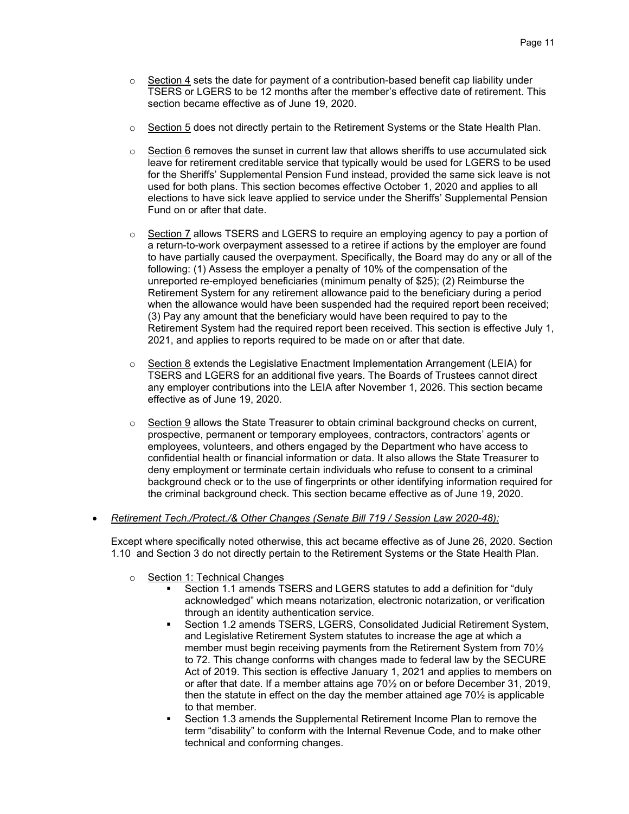- $\circ$  Section 4 sets the date for payment of a contribution-based benefit cap liability under TSERS or LGERS to be 12 months after the member's effective date of retirement. This section became effective as of June 19, 2020.
- $\circ$  Section 5 does not directly pertain to the Retirement Systems or the State Health Plan.
- $\circ$  Section 6 removes the sunset in current law that allows sheriffs to use accumulated sick leave for retirement creditable service that typically would be used for LGERS to be used for the Sheriffs' Supplemental Pension Fund instead, provided the same sick leave is not used for both plans. This section becomes effective October 1, 2020 and applies to all elections to have sick leave applied to service under the Sheriffs' Supplemental Pension Fund on or after that date.
- $\circ$  Section 7 allows TSERS and LGERS to require an employing agency to pay a portion of a return-to-work overpayment assessed to a retiree if actions by the employer are found to have partially caused the overpayment. Specifically, the Board may do any or all of the following: (1) Assess the employer a penalty of 10% of the compensation of the unreported re-employed beneficiaries (minimum penalty of \$25); (2) Reimburse the Retirement System for any retirement allowance paid to the beneficiary during a period when the allowance would have been suspended had the required report been received; (3) Pay any amount that the beneficiary would have been required to pay to the Retirement System had the required report been received. This section is effective July 1, 2021, and applies to reports required to be made on or after that date.
- $\circ$  Section 8 extends the Legislative Enactment Implementation Arrangement (LEIA) for TSERS and LGERS for an additional five years. The Boards of Trustees cannot direct any employer contributions into the LEIA after November 1, 2026. This section became effective as of June 19, 2020.
- $\circ$  Section 9 allows the State Treasurer to obtain criminal background checks on current, prospective, permanent or temporary employees, contractors, contractors' agents or employees, volunteers, and others engaged by the Department who have access to confidential health or financial information or data. It also allows the State Treasurer to deny employment or terminate certain individuals who refuse to consent to a criminal background check or to the use of fingerprints or other identifying information required for the criminal background check. This section became effective as of June 19, 2020.
- *Retirement Tech./Protect./& Other Changes (Senate Bill 719 / Session Law 2020-48):*

Except where specifically noted otherwise, this act became effective as of June 26, 2020. Section 1.10 and Section 3 do not directly pertain to the Retirement Systems or the State Health Plan.

- o Section 1: Technical Changes
	- Section 1.1 amends TSERS and LGERS statutes to add a definition for "duly acknowledged" which means notarization, electronic notarization, or verification through an identity authentication service.
	- Section 1.2 amends TSERS, LGERS, Consolidated Judicial Retirement System, and Legislative Retirement System statutes to increase the age at which a member must begin receiving payments from the Retirement System from 70½ to 72. This change conforms with changes made to federal law by the SECURE Act of 2019. This section is effective January 1, 2021 and applies to members on or after that date. If a member attains age 70½ on or before December 31, 2019, then the statute in effect on the day the member attained age 70½ is applicable to that member.
	- Section 1.3 amends the Supplemental Retirement Income Plan to remove the term "disability" to conform with the Internal Revenue Code, and to make other technical and conforming changes.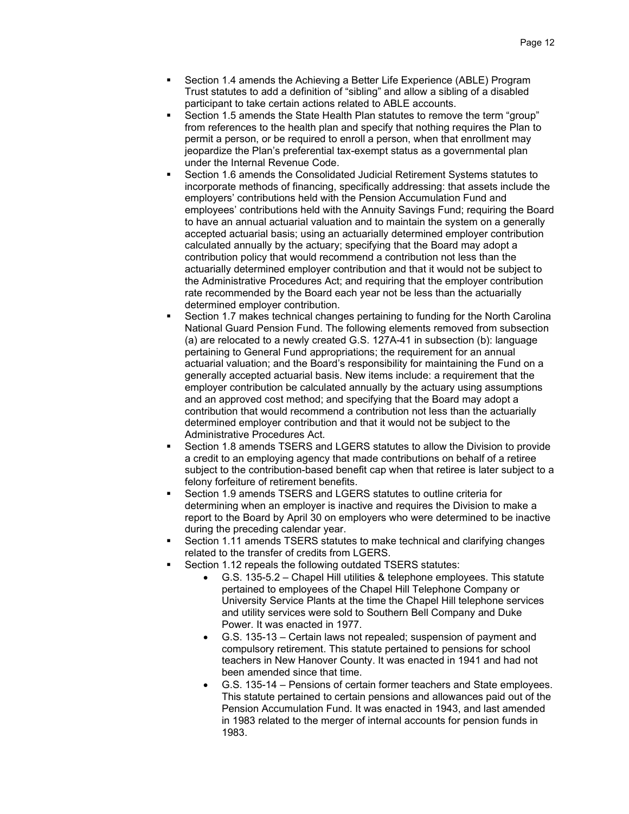- Section 1.4 amends the Achieving a Better Life Experience (ABLE) Program Trust statutes to add a definition of "sibling" and allow a sibling of a disabled participant to take certain actions related to ABLE accounts.
- Section 1.5 amends the State Health Plan statutes to remove the term "group" from references to the health plan and specify that nothing requires the Plan to permit a person, or be required to enroll a person, when that enrollment may jeopardize the Plan's preferential tax-exempt status as a governmental plan under the Internal Revenue Code.
- Section 1.6 amends the Consolidated Judicial Retirement Systems statutes to incorporate methods of financing, specifically addressing: that assets include the employers' contributions held with the Pension Accumulation Fund and employees' contributions held with the Annuity Savings Fund; requiring the Board to have an annual actuarial valuation and to maintain the system on a generally accepted actuarial basis; using an actuarially determined employer contribution calculated annually by the actuary; specifying that the Board may adopt a contribution policy that would recommend a contribution not less than the actuarially determined employer contribution and that it would not be subject to the Administrative Procedures Act; and requiring that the employer contribution rate recommended by the Board each year not be less than the actuarially determined employer contribution.
- Section 1.7 makes technical changes pertaining to funding for the North Carolina National Guard Pension Fund. The following elements removed from subsection (a) are relocated to a newly created G.S. 127A-41 in subsection (b): language pertaining to General Fund appropriations; the requirement for an annual actuarial valuation; and the Board's responsibility for maintaining the Fund on a generally accepted actuarial basis. New items include: a requirement that the employer contribution be calculated annually by the actuary using assumptions and an approved cost method; and specifying that the Board may adopt a contribution that would recommend a contribution not less than the actuarially determined employer contribution and that it would not be subject to the Administrative Procedures Act.
- Section 1.8 amends TSERS and LGERS statutes to allow the Division to provide a credit to an employing agency that made contributions on behalf of a retiree subject to the contribution-based benefit cap when that retiree is later subject to a felony forfeiture of retirement benefits.
- Section 1.9 amends TSERS and LGERS statutes to outline criteria for determining when an employer is inactive and requires the Division to make a report to the Board by April 30 on employers who were determined to be inactive during the preceding calendar year.
- Section 1.11 amends TSERS statutes to make technical and clarifying changes related to the transfer of credits from LGERS.
- Section 1.12 repeals the following outdated TSERS statutes:
	- G.S. 135-5.2 Chapel Hill utilities & telephone employees. This statute pertained to employees of the Chapel Hill Telephone Company or University Service Plants at the time the Chapel Hill telephone services and utility services were sold to Southern Bell Company and Duke Power. It was enacted in 1977.
	- G.S. 135-13 Certain laws not repealed; suspension of payment and compulsory retirement. This statute pertained to pensions for school teachers in New Hanover County. It was enacted in 1941 and had not been amended since that time.
	- G.S. 135-14 Pensions of certain former teachers and State employees. This statute pertained to certain pensions and allowances paid out of the Pension Accumulation Fund. It was enacted in 1943, and last amended in 1983 related to the merger of internal accounts for pension funds in 1983.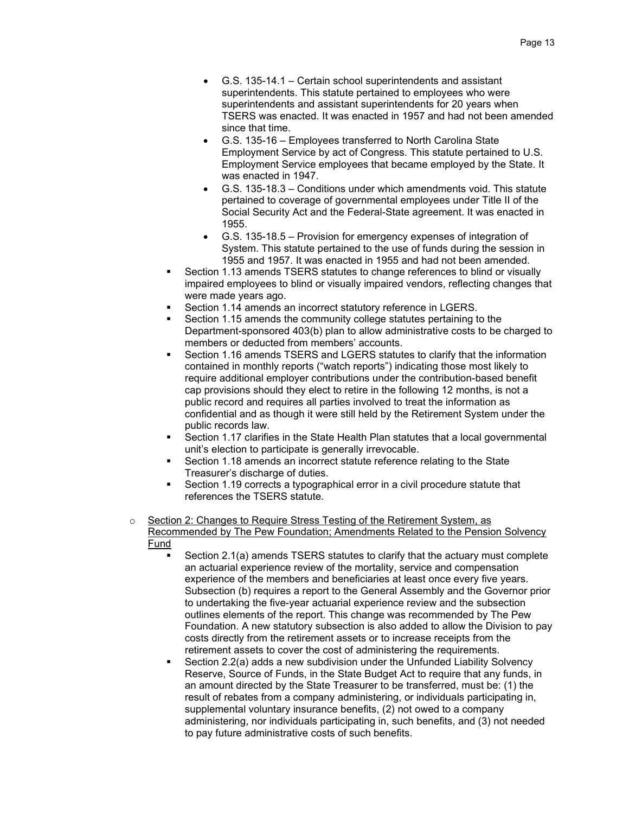- G.S. 135-14.1 Certain school superintendents and assistant superintendents. This statute pertained to employees who were superintendents and assistant superintendents for 20 years when TSERS was enacted. It was enacted in 1957 and had not been amended since that time.
- G.S. 135-16 Employees transferred to North Carolina State Employment Service by act of Congress. This statute pertained to U.S. Employment Service employees that became employed by the State. It was enacted in 1947.
- G.S. 135-18.3 Conditions under which amendments void. This statute pertained to coverage of governmental employees under Title II of the Social Security Act and the Federal-State agreement. It was enacted in 1955.
- G.S. 135-18.5 Provision for emergency expenses of integration of System. This statute pertained to the use of funds during the session in 1955 and 1957. It was enacted in 1955 and had not been amended.
- Section 1.13 amends TSERS statutes to change references to blind or visually impaired employees to blind or visually impaired vendors, reflecting changes that were made years ago.
- Section 1.14 amends an incorrect statutory reference in LGERS.
- Section 1.15 amends the community college statutes pertaining to the Department-sponsored 403(b) plan to allow administrative costs to be charged to members or deducted from members' accounts.
- Section 1.16 amends TSERS and LGERS statutes to clarify that the information contained in monthly reports ("watch reports") indicating those most likely to require additional employer contributions under the contribution-based benefit cap provisions should they elect to retire in the following 12 months, is not a public record and requires all parties involved to treat the information as confidential and as though it were still held by the Retirement System under the public records law.
- Section 1.17 clarifies in the State Health Plan statutes that a local governmental unit's election to participate is generally irrevocable.
- Section 1.18 amends an incorrect statute reference relating to the State Treasurer's discharge of duties.
- Section 1.19 corrects a typographical error in a civil procedure statute that references the TSERS statute.
- o Section 2: Changes to Require Stress Testing of the Retirement System, as Recommended by The Pew Foundation; Amendments Related to the Pension Solvency Fund
	- Section 2.1(a) amends TSERS statutes to clarify that the actuary must complete an actuarial experience review of the mortality, service and compensation experience of the members and beneficiaries at least once every five years. Subsection (b) requires a report to the General Assembly and the Governor prior to undertaking the five-year actuarial experience review and the subsection outlines elements of the report. This change was recommended by The Pew Foundation. A new statutory subsection is also added to allow the Division to pay costs directly from the retirement assets or to increase receipts from the retirement assets to cover the cost of administering the requirements.
	- Section 2.2(a) adds a new subdivision under the Unfunded Liability Solvency Reserve, Source of Funds, in the State Budget Act to require that any funds, in an amount directed by the State Treasurer to be transferred, must be: (1) the result of rebates from a company administering, or individuals participating in, supplemental voluntary insurance benefits, (2) not owed to a company administering, nor individuals participating in, such benefits, and (3) not needed to pay future administrative costs of such benefits.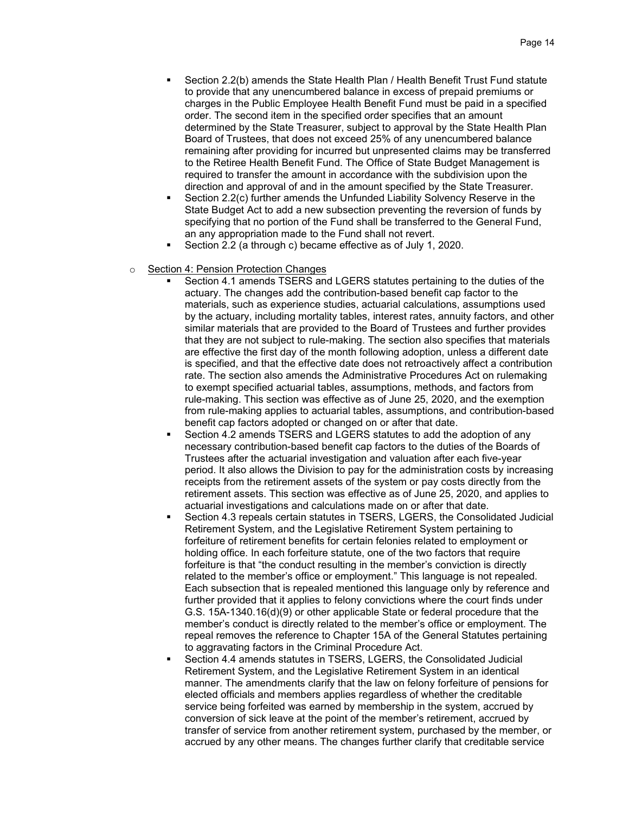- Section 2.2(b) amends the State Health Plan / Health Benefit Trust Fund statute to provide that any unencumbered balance in excess of prepaid premiums or charges in the Public Employee Health Benefit Fund must be paid in a specified order. The second item in the specified order specifies that an amount determined by the State Treasurer, subject to approval by the State Health Plan Board of Trustees, that does not exceed 25% of any unencumbered balance remaining after providing for incurred but unpresented claims may be transferred to the Retiree Health Benefit Fund. The Office of State Budget Management is required to transfer the amount in accordance with the subdivision upon the direction and approval of and in the amount specified by the State Treasurer.
- Section 2.2(c) further amends the Unfunded Liability Solvency Reserve in the State Budget Act to add a new subsection preventing the reversion of funds by specifying that no portion of the Fund shall be transferred to the General Fund, an any appropriation made to the Fund shall not revert.
- Section 2.2 (a through c) became effective as of July 1, 2020.
- o Section 4: Pension Protection Changes
	- Section 4.1 amends TSERS and LGERS statutes pertaining to the duties of the actuary. The changes add the contribution-based benefit cap factor to the materials, such as experience studies, actuarial calculations, assumptions used by the actuary, including mortality tables, interest rates, annuity factors, and other similar materials that are provided to the Board of Trustees and further provides that they are not subject to rule-making. The section also specifies that materials are effective the first day of the month following adoption, unless a different date is specified, and that the effective date does not retroactively affect a contribution rate. The section also amends the Administrative Procedures Act on rulemaking to exempt specified actuarial tables, assumptions, methods, and factors from rule-making. This section was effective as of June 25, 2020, and the exemption from rule-making applies to actuarial tables, assumptions, and contribution-based benefit cap factors adopted or changed on or after that date.
	- Section 4.2 amends TSERS and LGERS statutes to add the adoption of any necessary contribution-based benefit cap factors to the duties of the Boards of Trustees after the actuarial investigation and valuation after each five-year period. It also allows the Division to pay for the administration costs by increasing receipts from the retirement assets of the system or pay costs directly from the retirement assets. This section was effective as of June 25, 2020, and applies to actuarial investigations and calculations made on or after that date.
	- Section 4.3 repeals certain statutes in TSERS, LGERS, the Consolidated Judicial Retirement System, and the Legislative Retirement System pertaining to forfeiture of retirement benefits for certain felonies related to employment or holding office. In each forfeiture statute, one of the two factors that require forfeiture is that "the conduct resulting in the member's conviction is directly related to the member's office or employment." This language is not repealed. Each subsection that is repealed mentioned this language only by reference and further provided that it applies to felony convictions where the court finds under G.S. 15A-1340.16(d)(9) or other applicable State or federal procedure that the member's conduct is directly related to the member's office or employment. The repeal removes the reference to Chapter 15A of the General Statutes pertaining to aggravating factors in the Criminal Procedure Act.
	- Section 4.4 amends statutes in TSERS, LGERS, the Consolidated Judicial Retirement System, and the Legislative Retirement System in an identical manner. The amendments clarify that the law on felony forfeiture of pensions for elected officials and members applies regardless of whether the creditable service being forfeited was earned by membership in the system, accrued by conversion of sick leave at the point of the member's retirement, accrued by transfer of service from another retirement system, purchased by the member, or accrued by any other means. The changes further clarify that creditable service